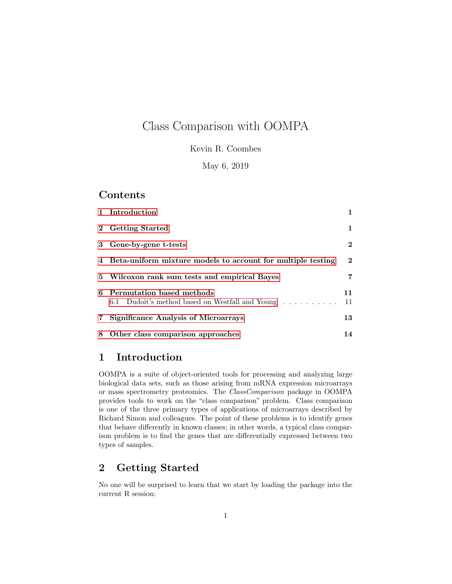# Class Comparison with OOMPA

Kevin R. Coombes

May 6, 2019

### Contents

|       | 1 Introduction                                                                 |              |
|-------|--------------------------------------------------------------------------------|--------------|
|       | 2 Getting Started                                                              | $\mathbf{1}$ |
|       | 3 Gene-by-gene t-tests                                                         | $\bf{2}$     |
|       | 4 Beta-uniform mixture models to account for multiple testing                  | $\mathbf{2}$ |
|       | 5 Wilcoxon rank sum tests and empirical Bayes                                  | 7            |
|       | 6 Permutation based methods<br>6.1 Dudoit's method based on Westfall and Young | 11<br>11     |
| $7\,$ | <b>Significance Analysis of Microarrays</b>                                    | 13           |
|       | 8 Other class comparison approaches                                            | 14           |

# <span id="page-0-0"></span>1 Introduction

OOMPA is a suite of object-oriented tools for processing and analyzing large biological data sets, such as those arising from mRNA expression microarrays or mass spectrometry proteomics. The ClassComparison package in OOMPA provides tools to work on the "class comparison" problem. Class comparison is one of the three primary types of applications of microarrays described by Richard Simon and colleagues. The point of these problems is to identify genes that behave differently in known classes; in other words, a typical class comparison problem is to find the genes that are differentially expressed between two types of samples.

# <span id="page-0-1"></span>2 Getting Started

No one will be surprised to learn that we start by loading the package into the current R session: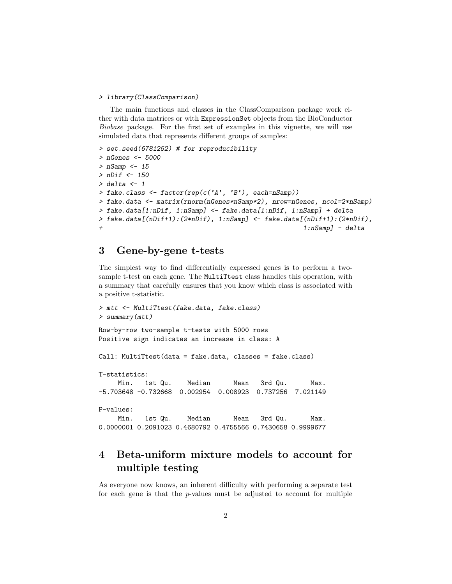#### > library(ClassComparison)

The main functions and classes in the ClassComparison package work either with data matrices or with ExpressionSet objects from the BioConductor Biobase package. For the first set of examples in this vignette, we will use simulated data that represents different groups of samples:

```
> set.seed(6781252) # for reproducibility
> nGenes <- 5000
> nSamp < - 15> nDif <- 150
> delta <-1> fake.class <- factor(rep(c('A', 'B'), each=nSamp))
> fake.data <- matrix(rnorm(nGenes*nSamp*2), nrow=nGenes, ncol=2*nSamp)
> fake.data[1:nDif, 1:nSamp] <- fake.data[1:nDif, 1:nSamp] + delta
> fake.data[(nDif+1):(2*nDif), 1:nSamp] <- fake.data[(nDif+1):(2*nDif),
                                                     1:nSamp] - delta
```
### <span id="page-1-0"></span>3 Gene-by-gene t-tests

The simplest way to find differentially expressed genes is to perform a twosample t-test on each gene. The MultiTtest class handles this operation, with a summary that carefully ensures that you know which class is associated with a positive t-statistic.

```
> mtt <- MultiTtest(fake.data, fake.class)
> summary(mtt)
Row-by-row two-sample t-tests with 5000 rows
Positive sign indicates an increase in class: A
Call: MultiTtest(data = fake.data, classes = fake.class)
T-statistics:
    Min. 1st Qu. Median Mean 3rd Qu. Max.
-5.703648 -0.732668 0.002954 0.008923 0.737256 7.021149
P-values:
    Min. 1st Qu. Median Mean 3rd Qu. Max.
0.0000001 0.2091023 0.4680792 0.4755566 0.7430658 0.9999677
```
# <span id="page-1-1"></span>4 Beta-uniform mixture models to account for multiple testing

As everyone now knows, an inherent difficulty with performing a separate test for each gene is that the  $p$ -values must be adjusted to account for multiple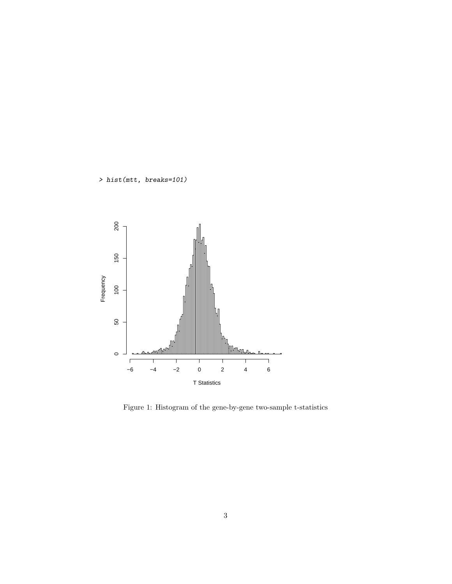> hist(mtt, breaks=101)



Figure 1: Histogram of the gene-by-gene two-sample t-statistics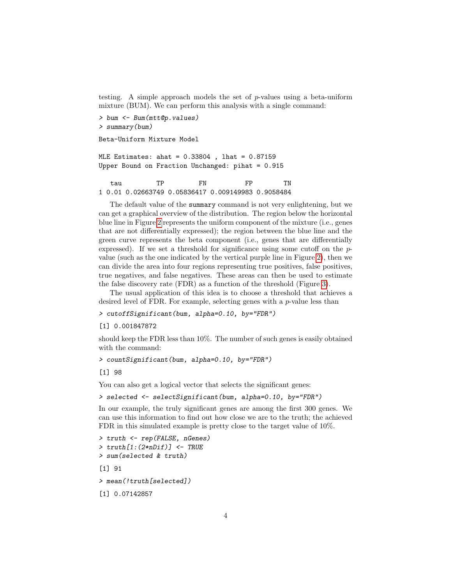testing. A simple approach models the set of  $p$ -values using a beta-uniform mixture (BUM). We can perform this analysis with a single command:

> bum <- Bum(mtt@p.values) > summary(bum)

Beta-Uniform Mixture Model

MLE Estimates: ahat = 0.33804 , lhat = 0.87159 Upper Bound on Fraction Unchanged: pihat = 0.915

tau TP FN FP TN 1 0.01 0.02663749 0.05836417 0.009149983 0.9058484

The default value of the summary command is not very enlightening, but we can get a graphical overview of the distribution. The region below the horizontal blue line in Figure [2](#page-4-0) represents the uniform component of the mixture (i.e., genes that are not differentially expressed); the region between the blue line and the green curve represents the beta component (i.e., genes that are differentially expressed). If we set a threshold for significance using some cutoff on the  $p$ value (such as the one indicated by the vertical purple line in Figure [2\)](#page-4-0), then we can divide the area into four regions representing true positives, false positives, true negatives, and false negatives. These areas can then be used to estimate the false discovery rate (FDR) as a function of the threshold (Figure [3\)](#page-5-0).

The usual application of this idea is to choose a threshold that achieves a desired level of FDR. For example, selecting genes with a  $p$ -value less than

> cutoffSignificant(bum, alpha=0.10, by="FDR")

[1] 0.001847872

should keep the FDR less than 10%. The number of such genes is easily obtained with the command:

> countSignificant(bum, alpha=0.10, by="FDR")

[1] 98

You can also get a logical vector that selects the significant genes:

> selected <- selectSignificant(bum, alpha=0.10, by="FDR")

In our example, the truly significant genes are among the first 300 genes. We can use this information to find out how close we are to the truth; the achieved FDR in this simulated example is pretty close to the target value of 10%.

```
> truth <- rep(FALSE, nGenes)
> truth[1:(2*nDif)] <- TRUE
> sum(selected & truth)
[1] 91
> mean(!truth[selected])
[1] 0.07142857
```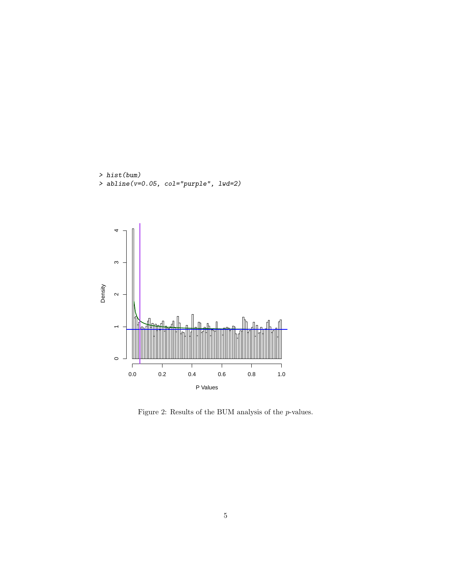



<span id="page-4-0"></span>Figure 2: Results of the BUM analysis of the  $p\text{-values}.$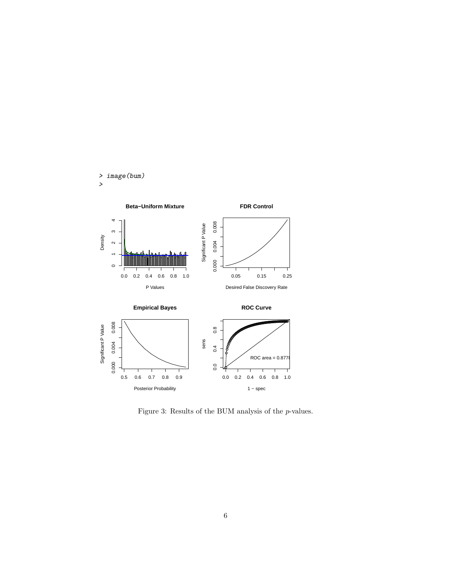



<span id="page-5-0"></span>Figure 3: Results of the BUM analysis of the p-values.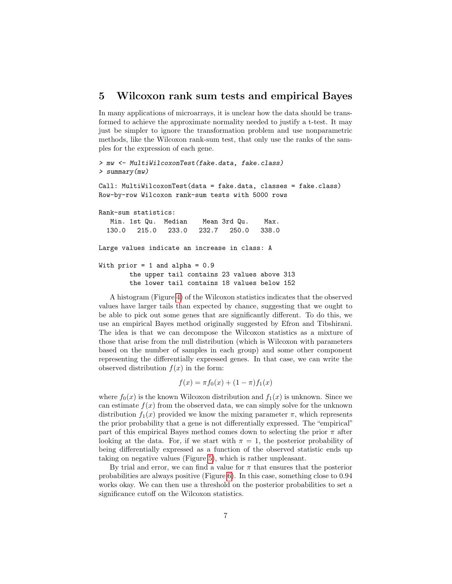### <span id="page-6-0"></span>5 Wilcoxon rank sum tests and empirical Bayes

In many applications of microarrays, it is unclear how the data should be transformed to achieve the approximate normality needed to justify a t-test. It may just be simpler to ignore the transformation problem and use nonparametric methods, like the Wilcoxon rank-sum test, that only use the ranks of the samples for the expression of each gene.

```
> mw <- MultiWilcoxonTest(fake.data, fake.class)
> summary(mw)
Call: MultiWilcoxonTest(data = fake.data, classes = fake.class)
Row-by-row Wilcoxon rank-sum tests with 5000 rows
Rank-sum statistics:
  Min. 1st Qu. Median Mean 3rd Qu. Max.
 130.0 215.0 233.0 232.7 250.0 338.0
Large values indicate an increase in class: A
With prior = 1 and alpha = 0.9the upper tail contains 23 values above 313
        the lower tail contains 18 values below 152
```
A histogram (Figure [4\)](#page-7-0) of the Wilcoxon statistics indicates that the observed values have larger tails than expected by chance, suggesting that we ought to be able to pick out some genes that are significantly different. To do this, we use an empirical Bayes method originally suggested by Efron and Tibshirani. The idea is that we can decompose the Wilcoxon statistics as a mixture of those that arise from the null distribution (which is Wilcoxon with parameters based on the number of samples in each group) and some other component representing the differentially expressed genes. In that case, we can write the observed distribution  $f(x)$  in the form:

$$
f(x) = \pi f_0(x) + (1 - \pi)f_1(x)
$$

where  $f_0(x)$  is the known Wilcoxon distribution and  $f_1(x)$  is unknown. Since we can estimate  $f(x)$  from the observed data, we can simply solve for the unknown distribution  $f_1(x)$  provided we know the mixing parameter  $\pi$ , which represents the prior probability that a gene is not differentially expressed. The "empirical" part of this empirical Bayes method comes down to selecting the prior  $\pi$  after looking at the data. For, if we start with  $\pi = 1$ , the posterior probability of being differentially expressed as a function of the observed statistic ends up taking on negative values (Figure [5\)](#page-8-0), which is rather unpleasant.

By trial and error, we can find a value for  $\pi$  that ensures that the posterior probabilities are always positive (Figure [6\)](#page-9-0). In this case, something close to 0.94 works okay. We can then use a threshold on the posterior probabilities to set a significance cutoff on the Wilcoxon statistics.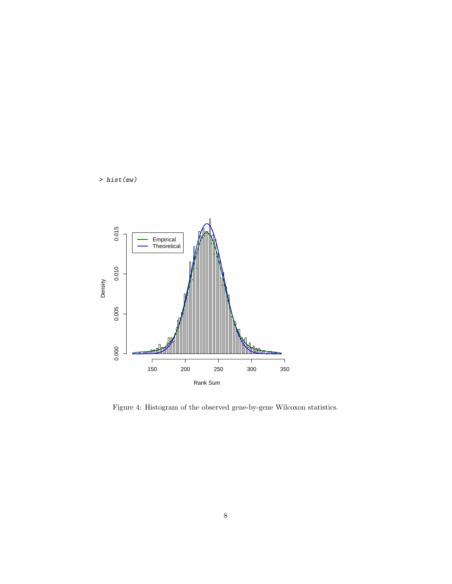

> hist(mw)

<span id="page-7-0"></span>Figure 4: Histogram of the observed gene-by-gene Wilcoxon statistics.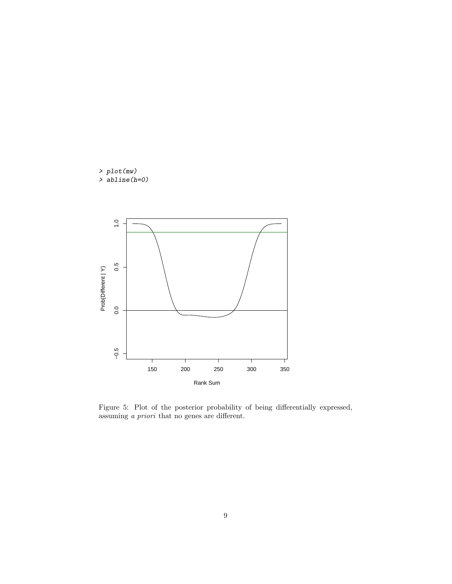> plot(mw) > abline(h=0)



<span id="page-8-0"></span>Figure 5: Plot of the posterior probability of being differentially expressed, assuming a priori that no genes are different.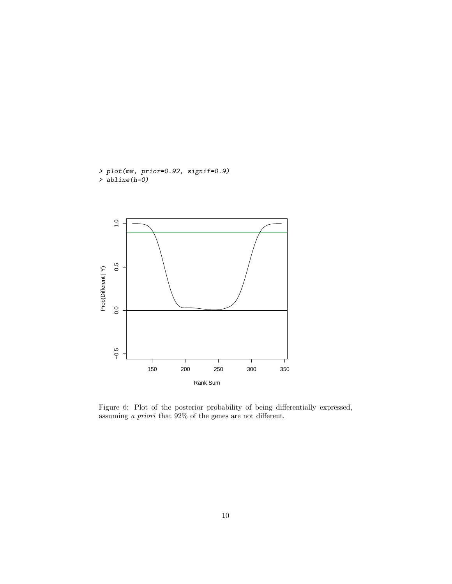> plot(mw, prior=0.92, signif=0.9) > abline(h=0)



<span id="page-9-0"></span>Figure 6: Plot of the posterior probability of being differentially expressed, assuming a priori that 92% of the genes are not different.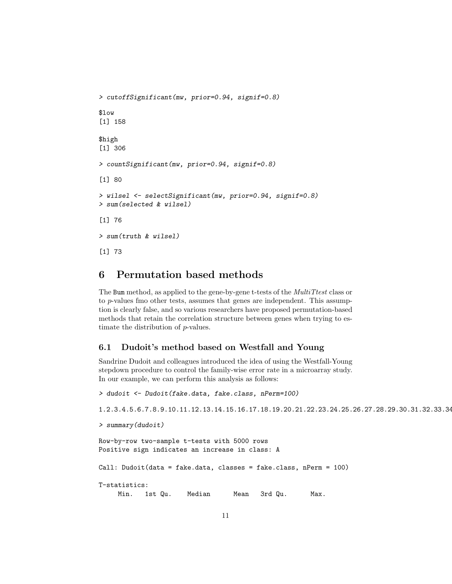```
> cutoffSignificant(mw, prior=0.94, signif=0.8)
$low
[1] 158
$high
[1] 306
> countSignificant(mw, prior=0.94, signif=0.8)
[1] 80
> wilsel <- selectSignificant(mw, prior=0.94, signif=0.8)
> sum(selected & wilsel)
[1] 76
> sum(truth & wilsel)
[1] 73
```
# <span id="page-10-0"></span>6 Permutation based methods

The Bum method, as applied to the gene-by-gene t-tests of the *MultiTtest* class or to p-values fmo other tests, assumes that genes are independent. This assumption is clearly false, and so various researchers have proposed permutation-based methods that retain the correlation structure between genes when trying to estimate the distribution of p-values.

#### <span id="page-10-1"></span>6.1 Dudoit's method based on Westfall and Young

Sandrine Dudoit and colleagues introduced the idea of using the Westfall-Young stepdown procedure to control the family-wise error rate in a microarray study. In our example, we can perform this analysis as follows:

> dudoit <- Dudoit(fake.data, fake.class, nPerm=100) 1.2.3.4.5.6.7.8.9.10.11.12.13.14.15.16.17.18.19.20.21.22.23.24.25.26.27.28.29.30.31.32.33.34.35.36.37.38.39.40.41.42.43.44.45.46.47.48.49.50.51.52.53.54.55.56.57.58.59.60.61.62.63.64.65.66.67.68.69.70.71.72.73.74.75.76.77.78.79.80.81.82.83.84.85.86.87.88.89.90.91.92.93.94.95.96.97.98.99.100. > summary(dudoit) Row-by-row two-sample t-tests with 5000 rows Positive sign indicates an increase in class: A Call: Dudoit(data = fake.data, classes = fake.class, nPerm = 100) T-statistics:

Min. 1st Qu. Median Mean 3rd Qu. Max.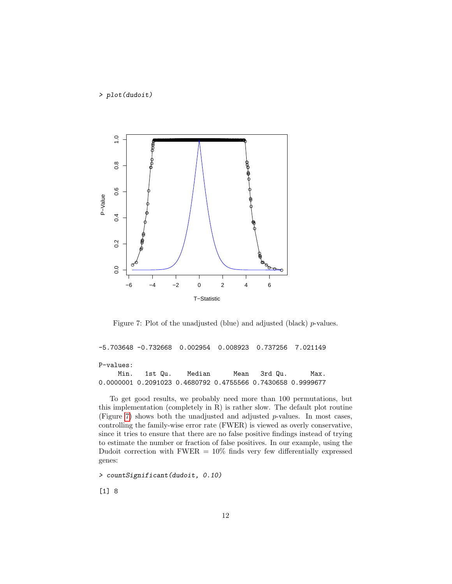> plot(dudoit)



<span id="page-11-0"></span>Figure 7: Plot of the unadjusted (blue) and adjusted (black) p-values.

-5.703648 -0.732668 0.002954 0.008923 0.737256 7.021149 P-values: Min. 1st Qu. Median Mean 3rd Qu. Max.

0.0000001 0.2091023 0.4680792 0.4755566 0.7430658 0.9999677

To get good results, we probably need more than 100 permutations, but this implementation (completely in R) is rather slow. The default plot routine (Figure [7\)](#page-11-0) shows both the unadjusted and adjusted  $p$ -values. In most cases, controlling the family-wise error rate (FWER) is viewed as overly conservative, since it tries to ensure that there are no false positive findings instead of trying to estimate the number or fraction of false positives. In our example, using the Dudoit correction with  $FWER = 10\%$  finds very few differentially expressed genes:

> countSignificant(dudoit, 0.10)

[1] 8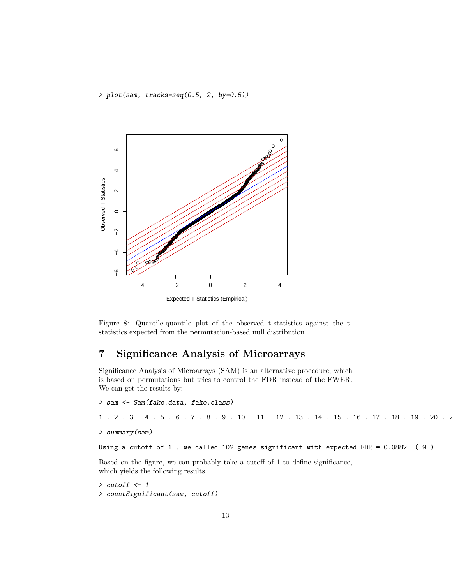> plot(sam, tracks=seq(0.5, 2, by=0.5))



Figure 8: Quantile-quantile plot of the observed t-statistics against the tstatistics expected from the permutation-based null distribution.

# <span id="page-12-0"></span>7 Significance Analysis of Microarrays

Significance Analysis of Microarrays (SAM) is an alternative procedure, which is based on permutations but tries to control the FDR instead of the FWER. We can get the results by:

```
> sam <- Sam(fake.data, fake.class)
1 . 2 . 3 . 4 . 5 . 6 . 7 . 8 . 9 . 10 . 11 . 12 . 13 . 14 . 15 . 16 . 17 . 18 . 19 . 20 . 2> summary(sam)
```

```
Using a cutoff of 1 , we called 102 genes significant with expected FDR = 0.0882 ( 9 )
```
Based on the figure, we can probably take a cutoff of 1 to define significance, which yields the following results

```
> cutoff <- 1
> countSignificant(sam, cutoff)
```